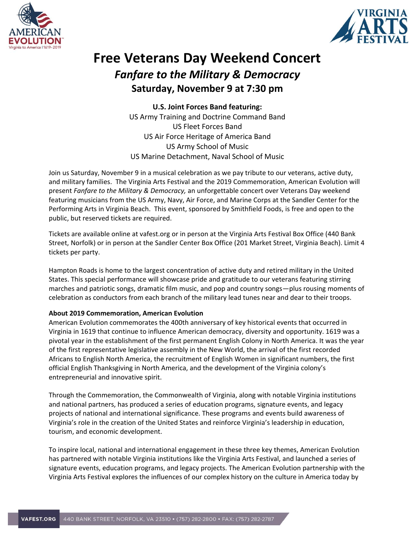



## **Free Veterans Day Weekend Concert** *Fanfare to the Military & Democracy* **Saturday, November 9 at 7:30 pm**

**U.S. Joint Forces Band featuring:** US Army Training and Doctrine Command Band US Fleet Forces Band US Air Force Heritage of America Band US Army School of Music US Marine Detachment, Naval School of Music

Join us Saturday, November 9 in a musical celebration as we pay tribute to our veterans, active duty, and military families. The Virginia Arts Festival and the [2019 Commemoration, American Evolution](https://www.americanevolution2019.com/) will present *Fanfare to the Military & Democracy,* an unforgettable concert over Veterans Day weekend featuring musicians from the US Army, Navy, Air Force, and Marine Corps at the Sandler Center for the Performing Arts in Virginia Beach. This event, sponsored by Smithfield Foods, is free and open to the public, but reserved tickets are required.

Tickets are available online at vafest.org or in person at the Virginia Arts Festival Box Office (440 Bank Street, Norfolk) or in person at the Sandler Center Box Office (201 Market Street, Virginia Beach). Limit 4 tickets per party.

Hampton Roads is home to the largest concentration of active duty and retired military in the United States. This special performance will showcase pride and gratitude to our veterans featuring stirring marches and patriotic songs, dramatic film music, and pop and country songs—plus rousing moments of celebration as conductors from each branch of the military lead tunes near and dear to their troops.

## **About 2019 Commemoration, American Evolution**

American Evolution commemorates the 400th anniversary of key historical events that occurred in Virginia in 1619 that continue to influence American democracy, diversity and opportunity. 1619 was a pivotal year in the establishment of the first permanent English Colony in North America. It was the year of the first representative legislative assembly in the New World, the arrival of the first recorded Africans to English North America, the recruitment of English Women in significant numbers, the first official English Thanksgiving in North America, and the development of the Virginia colony's entrepreneurial and innovative spirit.

Through the Commemoration, the Commonwealth of Virginia, along with notable Virginia institutions and national partners, has produced a series of education programs, signature events, and legacy projects of national and international significance. These programs and events build awareness of Virginia's role in the creation of the United States and reinforce Virginia's leadership in education, tourism, and economic development.

To inspire local, national and international engagement in these three key themes, American Evolution has partnered with notable Virginia institutions like the Virginia Arts Festival, and launched a series of signature events, education programs, and legacy projects. The American Evolution partnership with the Virginia Arts Festival explores the influences of our complex history on the culture in America today by